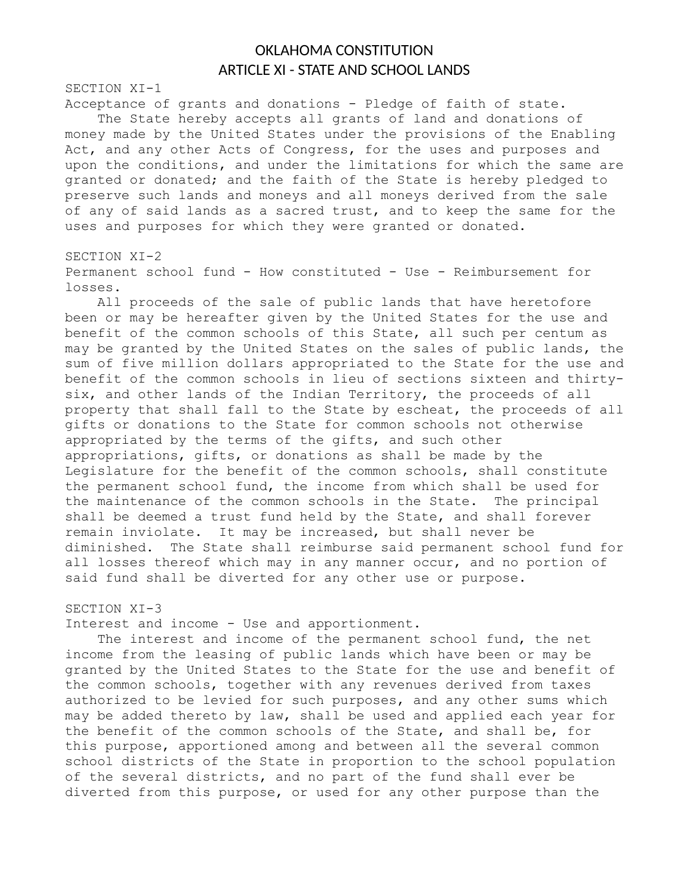# OKLAHOMA CONSTITUTION ARTICLE XI - STATE AND SCHOOL LANDS

### SECTION XI-1

Acceptance of grants and donations - Pledge of faith of state.

The State hereby accepts all grants of land and donations of money made by the United States under the provisions of the Enabling Act, and any other Acts of Congress, for the uses and purposes and upon the conditions, and under the limitations for which the same are granted or donated; and the faith of the State is hereby pledged to preserve such lands and moneys and all moneys derived from the sale of any of said lands as a sacred trust, and to keep the same for the uses and purposes for which they were granted or donated.

## SECTION XI-2

Permanent school fund - How constituted - Use - Reimbursement for losses.

All proceeds of the sale of public lands that have heretofore been or may be hereafter given by the United States for the use and benefit of the common schools of this State, all such per centum as may be granted by the United States on the sales of public lands, the sum of five million dollars appropriated to the State for the use and benefit of the common schools in lieu of sections sixteen and thirtysix, and other lands of the Indian Territory, the proceeds of all property that shall fall to the State by escheat, the proceeds of all gifts or donations to the State for common schools not otherwise appropriated by the terms of the gifts, and such other appropriations, gifts, or donations as shall be made by the Legislature for the benefit of the common schools, shall constitute the permanent school fund, the income from which shall be used for the maintenance of the common schools in the State. The principal shall be deemed a trust fund held by the State, and shall forever remain inviolate. It may be increased, but shall never be diminished. The State shall reimburse said permanent school fund for all losses thereof which may in any manner occur, and no portion of said fund shall be diverted for any other use or purpose.

## SECTION XI-3

Interest and income - Use and apportionment.

The interest and income of the permanent school fund, the net income from the leasing of public lands which have been or may be granted by the United States to the State for the use and benefit of the common schools, together with any revenues derived from taxes authorized to be levied for such purposes, and any other sums which may be added thereto by law, shall be used and applied each year for the benefit of the common schools of the State, and shall be, for this purpose, apportioned among and between all the several common school districts of the State in proportion to the school population of the several districts, and no part of the fund shall ever be diverted from this purpose, or used for any other purpose than the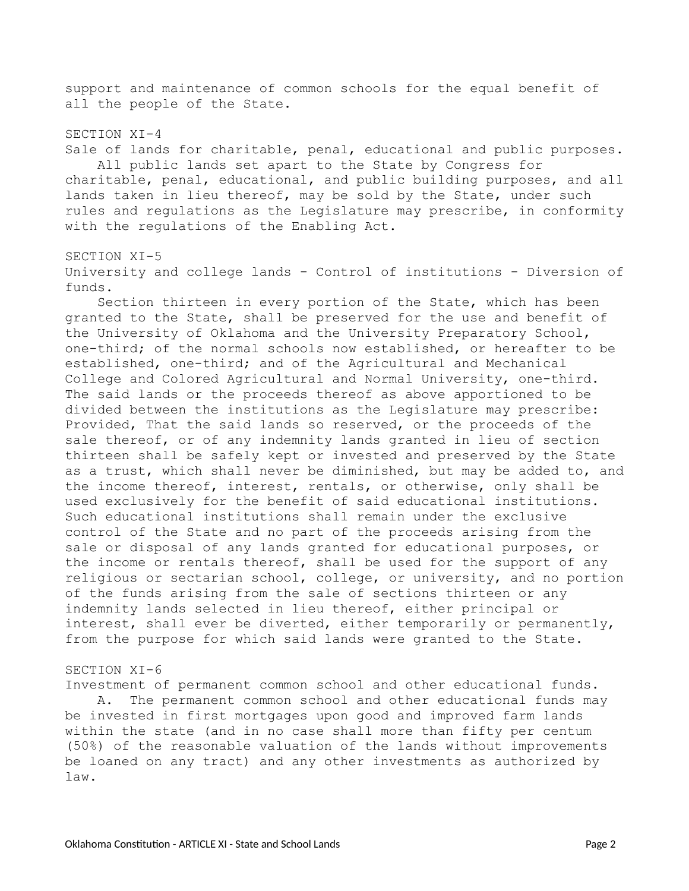support and maintenance of common schools for the equal benefit of all the people of the State.

### SECTION XI-4

Sale of lands for charitable, penal, educational and public purposes. All public lands set apart to the State by Congress for

charitable, penal, educational, and public building purposes, and all lands taken in lieu thereof, may be sold by the State, under such rules and regulations as the Legislature may prescribe, in conformity with the regulations of the Enabling Act.

#### SECTION XI-5

University and college lands - Control of institutions - Diversion of funds.

Section thirteen in every portion of the State, which has been granted to the State, shall be preserved for the use and benefit of the University of Oklahoma and the University Preparatory School, one-third; of the normal schools now established, or hereafter to be established, one-third; and of the Agricultural and Mechanical College and Colored Agricultural and Normal University, one-third. The said lands or the proceeds thereof as above apportioned to be divided between the institutions as the Legislature may prescribe: Provided, That the said lands so reserved, or the proceeds of the sale thereof, or of any indemnity lands granted in lieu of section thirteen shall be safely kept or invested and preserved by the State as a trust, which shall never be diminished, but may be added to, and the income thereof, interest, rentals, or otherwise, only shall be used exclusively for the benefit of said educational institutions. Such educational institutions shall remain under the exclusive control of the State and no part of the proceeds arising from the sale or disposal of any lands granted for educational purposes, or the income or rentals thereof, shall be used for the support of any religious or sectarian school, college, or university, and no portion of the funds arising from the sale of sections thirteen or any indemnity lands selected in lieu thereof, either principal or interest, shall ever be diverted, either temporarily or permanently, from the purpose for which said lands were granted to the State.

## SECTION XI-6

Investment of permanent common school and other educational funds. A. The permanent common school and other educational funds may be invested in first mortgages upon good and improved farm lands within the state (and in no case shall more than fifty per centum (50%) of the reasonable valuation of the lands without improvements be loaned on any tract) and any other investments as authorized by law.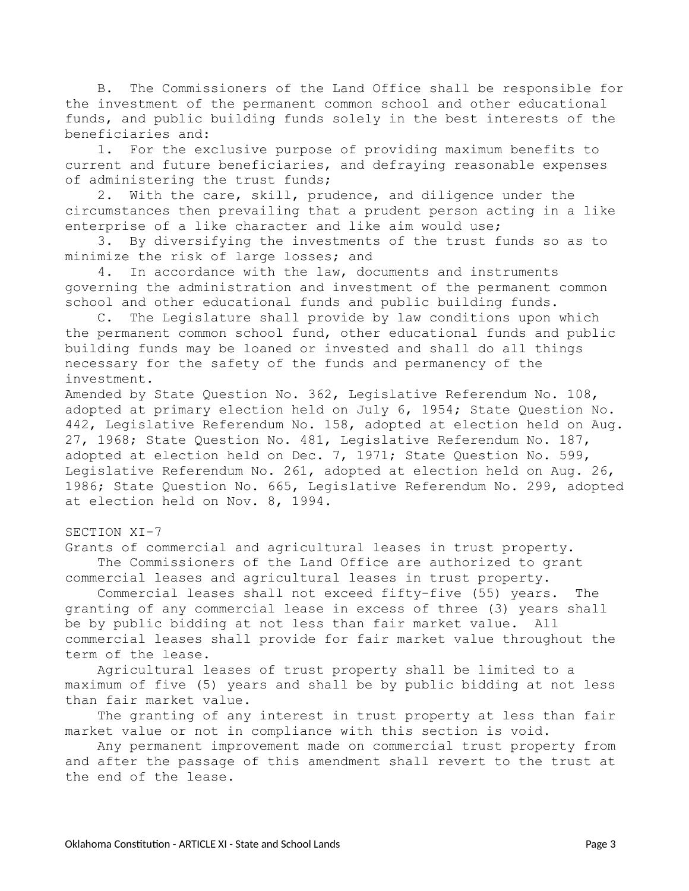B. The Commissioners of the Land Office shall be responsible for the investment of the permanent common school and other educational funds, and public building funds solely in the best interests of the beneficiaries and:

1. For the exclusive purpose of providing maximum benefits to current and future beneficiaries, and defraying reasonable expenses of administering the trust funds;

2. With the care, skill, prudence, and diligence under the circumstances then prevailing that a prudent person acting in a like enterprise of a like character and like aim would use;

3. By diversifying the investments of the trust funds so as to minimize the risk of large losses; and

4. In accordance with the law, documents and instruments governing the administration and investment of the permanent common school and other educational funds and public building funds.

C. The Legislature shall provide by law conditions upon which the permanent common school fund, other educational funds and public building funds may be loaned or invested and shall do all things necessary for the safety of the funds and permanency of the investment.

Amended by State Question No. 362, Legislative Referendum No. 108, adopted at primary election held on July 6, 1954; State Question No. 442, Legislative Referendum No. 158, adopted at election held on Aug. 27, 1968; State Question No. 481, Legislative Referendum No. 187, adopted at election held on Dec. 7, 1971; State Question No. 599, Legislative Referendum No. 261, adopted at election held on Aug. 26, 1986; State Question No. 665, Legislative Referendum No. 299, adopted at election held on Nov. 8, 1994.

## SECTION XI-7

Grants of commercial and agricultural leases in trust property. The Commissioners of the Land Office are authorized to grant

commercial leases and agricultural leases in trust property.

Commercial leases shall not exceed fifty-five (55) years. The granting of any commercial lease in excess of three (3) years shall be by public bidding at not less than fair market value. All commercial leases shall provide for fair market value throughout the term of the lease.

Agricultural leases of trust property shall be limited to a maximum of five (5) years and shall be by public bidding at not less than fair market value.

The granting of any interest in trust property at less than fair market value or not in compliance with this section is void.

Any permanent improvement made on commercial trust property from and after the passage of this amendment shall revert to the trust at the end of the lease.